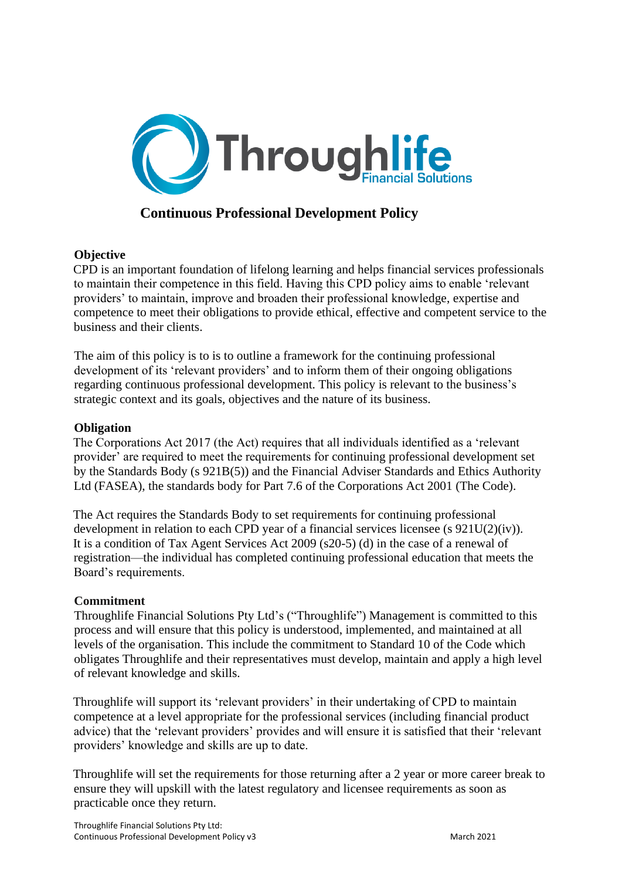

## **Continuous Professional Development Policy**

## **Objective**

CPD is an important foundation of lifelong learning and helps financial services professionals to maintain their competence in this field. Having this CPD policy aims to enable 'relevant providers' to maintain, improve and broaden their professional knowledge, expertise and competence to meet their obligations to provide ethical, effective and competent service to the business and their clients.

The aim of this policy is to is to outline a framework for the continuing professional development of its 'relevant providers' and to inform them of their ongoing obligations regarding continuous professional development. This policy is relevant to the business's strategic context and its goals, objectives and the nature of its business.

## **Obligation**

The Corporations Act 2017 (the Act) requires that all individuals identified as a 'relevant provider' are required to meet the requirements for continuing professional development set by the Standards Body (s 921B(5)) and the Financial Adviser Standards and Ethics Authority Ltd (FASEA), the standards body for Part 7.6 of the Corporations Act 2001 (The Code).

The Act requires the Standards Body to set requirements for continuing professional development in relation to each CPD year of a financial services licensee (s 921U(2)(iv)). It is a condition of Tax Agent Services Act 2009 (s20-5) (d) in the case of a renewal of registration—the individual has completed continuing professional education that meets the Board's requirements.

## **Commitment**

Throughlife Financial Solutions Pty Ltd's ("Throughlife") Management is committed to this process and will ensure that this policy is understood, implemented, and maintained at all levels of the organisation. This include the commitment to Standard 10 of the Code which obligates Throughlife and their representatives must develop, maintain and apply a high level of relevant knowledge and skills.

Throughlife will support its 'relevant providers' in their undertaking of CPD to maintain competence at a level appropriate for the professional services (including financial product advice) that the 'relevant providers' provides and will ensure it is satisfied that their 'relevant providers' knowledge and skills are up to date.

Throughlife will set the requirements for those returning after a 2 year or more career break to ensure they will upskill with the latest regulatory and licensee requirements as soon as practicable once they return.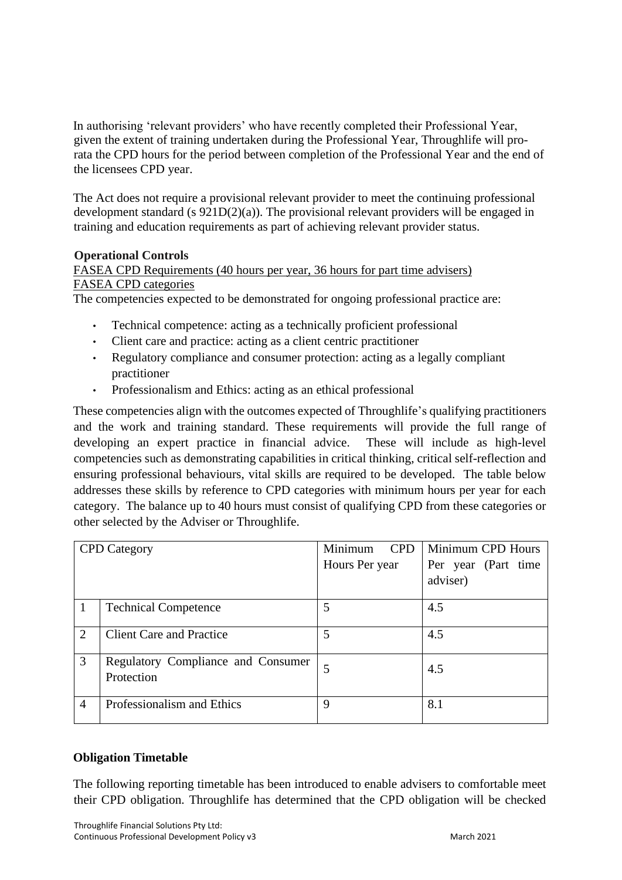In authorising 'relevant providers' who have recently completed their Professional Year, given the extent of training undertaken during the Professional Year, Throughlife will prorata the CPD hours for the period between completion of the Professional Year and the end of the licensees CPD year.

The Act does not require a provisional relevant provider to meet the continuing professional development standard (s  $921D(2)(a)$ ). The provisional relevant providers will be engaged in training and education requirements as part of achieving relevant provider status.

## **Operational Controls**

FASEA CPD Requirements (40 hours per year, 36 hours for part time advisers) FASEA CPD categories

The competencies expected to be demonstrated for ongoing professional practice are:

- Technical competence: acting as a technically proficient professional
- Client care and practice: acting as a client centric practitioner
- Regulatory compliance and consumer protection: acting as a legally compliant practitioner
- Professionalism and Ethics: acting as an ethical professional

These competencies align with the outcomes expected of Throughlife's qualifying practitioners and the work and training standard. These requirements will provide the full range of developing an expert practice in financial advice. These will include as high-level competencies such as demonstrating capabilities in critical thinking, critical self-reflection and ensuring professional behaviours, vital skills are required to be developed. The table below addresses these skills by reference to CPD categories with minimum hours per year for each category. The balance up to 40 hours must consist of qualifying CPD from these categories or other selected by the Adviser or Throughlife.

| <b>CPD</b> Category         |                                                  | Minimum<br><b>CPD</b> | Minimum CPD Hours               |
|-----------------------------|--------------------------------------------------|-----------------------|---------------------------------|
|                             |                                                  | Hours Per year        | Per year (Part time<br>adviser) |
|                             |                                                  |                       |                                 |
|                             | <b>Technical Competence</b>                      | 5                     | 4.5                             |
| $\mathcal{D}_{\mathcal{L}}$ | <b>Client Care and Practice</b>                  | 5                     | 4.5                             |
| 3                           | Regulatory Compliance and Consumer<br>Protection | 5                     | 4.5                             |
| $\overline{4}$              | Professionalism and Ethics                       | 9                     | 8.1                             |

## **Obligation Timetable**

The following reporting timetable has been introduced to enable advisers to comfortable meet their CPD obligation. Throughlife has determined that the CPD obligation will be checked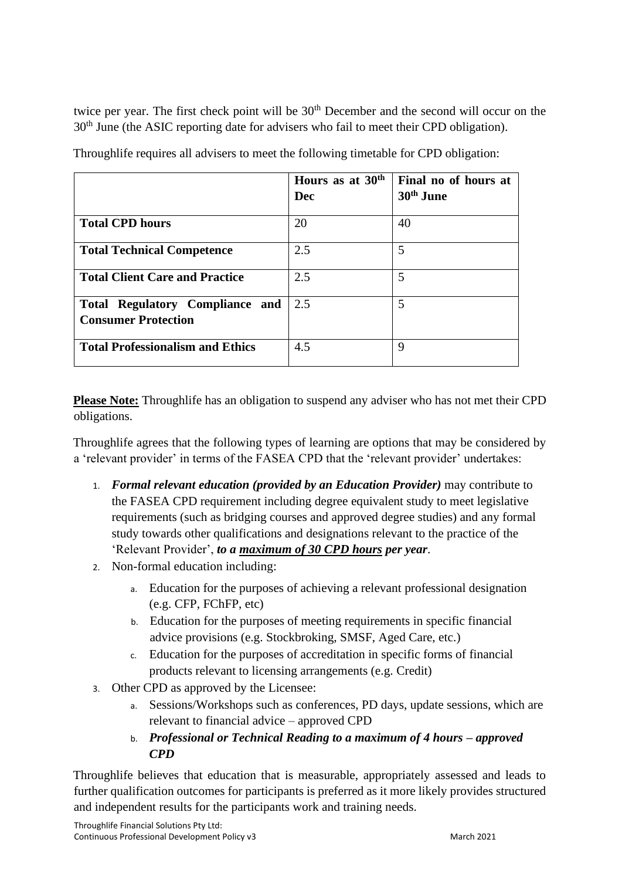twice per year. The first check point will be 30<sup>th</sup> December and the second will occur on the 30<sup>th</sup> June (the ASIC reporting date for advisers who fail to meet their CPD obligation).

|                                                                      | Hours as at 30 <sup>th</sup><br>Dec | Final no of hours at<br>30 <sup>th</sup> June |
|----------------------------------------------------------------------|-------------------------------------|-----------------------------------------------|
| <b>Total CPD hours</b>                                               | 20                                  | 40                                            |
| <b>Total Technical Competence</b>                                    | 2.5                                 | 5                                             |
| <b>Total Client Care and Practice</b>                                | 2.5                                 | 5                                             |
| <b>Total Regulatory Compliance and</b><br><b>Consumer Protection</b> | 2.5                                 | 5                                             |
| <b>Total Professionalism and Ethics</b>                              | 4.5                                 | 9                                             |

Throughlife requires all advisers to meet the following timetable for CPD obligation:

**Please Note:** Throughlife has an obligation to suspend any adviser who has not met their CPD obligations.

Throughlife agrees that the following types of learning are options that may be considered by a 'relevant provider' in terms of the FASEA CPD that the 'relevant provider' undertakes:

- 1. *Formal relevant education (provided by an Education Provider)* may contribute to the FASEA CPD requirement including degree equivalent study to meet legislative requirements (such as bridging courses and approved degree studies) and any formal study towards other qualifications and designations relevant to the practice of the 'Relevant Provider', *to a maximum of 30 CPD hours per year*.
- 2. Non-formal education including:
	- a. Education for the purposes of achieving a relevant professional designation (e.g. CFP, FChFP, etc)
	- b. Education for the purposes of meeting requirements in specific financial advice provisions (e.g. Stockbroking, SMSF, Aged Care, etc.)
	- c. Education for the purposes of accreditation in specific forms of financial products relevant to licensing arrangements (e.g. Credit)
- 3. Other CPD as approved by the Licensee:
	- a. Sessions/Workshops such as conferences, PD days, update sessions, which are relevant to financial advice – approved CPD
	- b. *Professional or Technical Reading to a maximum of 4 hours – approved CPD*

Throughlife believes that education that is measurable, appropriately assessed and leads to further qualification outcomes for participants is preferred as it more likely provides structured and independent results for the participants work and training needs.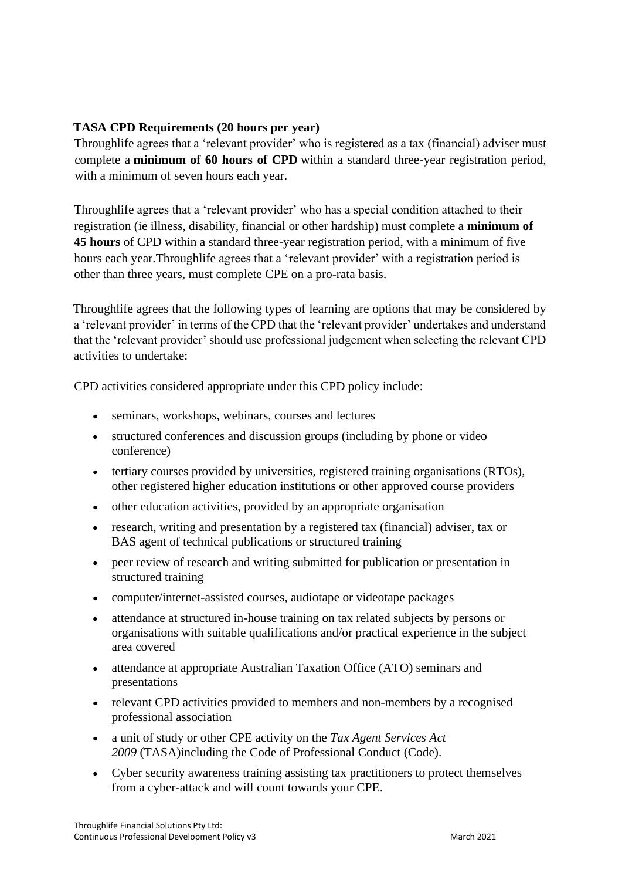## **TASA CPD Requirements (20 hours per year)**

Throughlife agrees that a 'relevant provider' who is registered as a tax (financial) adviser must complete a **minimum of 60 hours of CPD** within a standard three-year registration period, with a minimum of seven hours each year.

Throughlife agrees that a 'relevant provider' who has a special condition attached to their registration (ie illness, disability, financial or other hardship) must complete a **minimum of 45 hours** of CPD within a standard three-year registration period, with a minimum of five hours each year.Throughlife agrees that a 'relevant provider' with a registration period is other than three years, must complete CPE on a pro-rata basis.

Throughlife agrees that the following types of learning are options that may be considered by a 'relevant provider' in terms of the CPD that the 'relevant provider' undertakes and understand that the 'relevant provider' should use professional judgement when selecting the relevant CPD activities to undertake:

CPD activities considered appropriate under this CPD policy include:

- seminars, workshops, webinars, courses and lectures
- structured conferences and discussion groups (including by phone or video conference)
- tertiary courses provided by universities, registered training organisations (RTOs), other registered higher education institutions or other approved course providers
- other education activities, provided by an appropriate organisation
- research, writing and presentation by a registered tax (financial) adviser, tax or BAS agent of technical publications or structured training
- peer review of research and writing submitted for publication or presentation in structured training
- computer/internet-assisted courses, audiotape or videotape packages
- attendance at structured in-house training on tax related subjects by persons or organisations with suitable qualifications and/or practical experience in the subject area covered
- attendance at appropriate Australian Taxation Office (ATO) seminars and presentations
- relevant CPD activities provided to members and non-members by a recognised [professional association](https://www.tpb.gov.au/recognised-professional-associations)
- a unit of study or other CPE activity on the *[Tax Agent Services Act](https://www.legislation.gov.au/Series/C2009A00013)  2009* [\(TASA\)i](https://www.legislation.gov.au/Series/C2009A00013)ncluding the [Code of Professional Conduct](https://www.tpb.gov.au/comply-code-professional-conduct-tax-agents) (Code).
- Cyber security awareness training assisting tax practitioners to protect themselves from a cyber-attack and will count towards your CPE.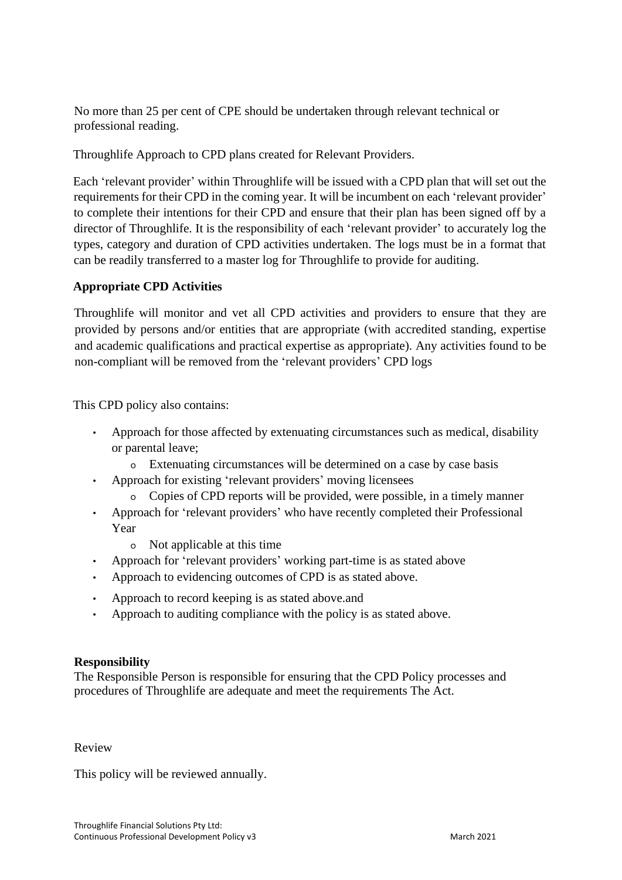No more than 25 per cent of CPE should be undertaken through relevant technical or professional reading.

Throughlife Approach to CPD plans created for Relevant Providers.

Each 'relevant provider' within Throughlife will be issued with a CPD plan that will set out the requirements for their CPD in the coming year. It will be incumbent on each 'relevant provider' to complete their intentions for their CPD and ensure that their plan has been signed off by a director of Throughlife. It is the responsibility of each 'relevant provider' to accurately log the types, category and duration of CPD activities undertaken. The logs must be in a format that can be readily transferred to a master log for Throughlife to provide for auditing.

## **Appropriate CPD Activities**

Throughlife will monitor and vet all CPD activities and providers to ensure that they are provided by persons and/or entities that are appropriate (with accredited standing, expertise and academic qualifications and practical expertise as appropriate). Any activities found to be non-compliant will be removed from the 'relevant providers' CPD logs

This CPD policy also contains:

- Approach for those affected by extenuating circumstances such as medical, disability or parental leave;
	- o Extenuating circumstances will be determined on a case by case basis
- Approach for existing 'relevant providers' moving licensees
	- o Copies of CPD reports will be provided, were possible, in a timely manner
- Approach for 'relevant providers' who have recently completed their Professional Year
	- o Not applicable at this time
- Approach for 'relevant providers' working part-time is as stated above
- Approach to evidencing outcomes of CPD is as stated above.
- Approach to record keeping is as stated above.and
- Approach to auditing compliance with the policy is as stated above.

## **Responsibility**

The Responsible Person is responsible for ensuring that the CPD Policy processes and procedures of Throughlife are adequate and meet the requirements The Act.

#### Review

This policy will be reviewed annually.